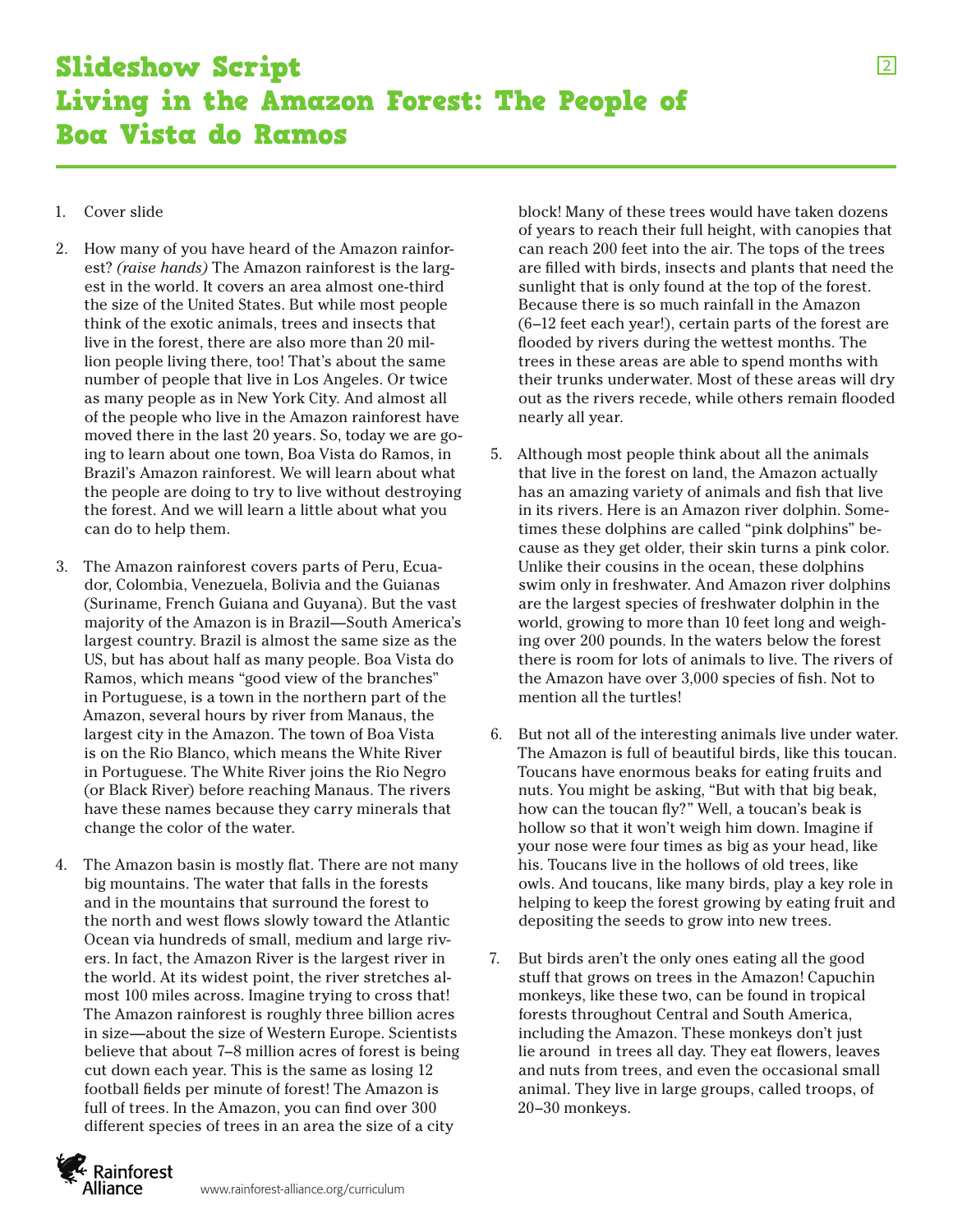2

## Slideshow Script Living in the Amazon Forest: The People of Boa Vista do Ramos

## 1. Cover slide

- 2. How many of you have heard of the Amazon rainforest? *(raise hands)* The Amazon rainforest is the largest in the world. It covers an area almost one-third the size of the United States. But while most people think of the exotic animals, trees and insects that live in the forest, there are also more than 20 million people living there, too! That's about the same number of people that live in Los Angeles. Or twice as many people as in New York City. And almost all of the people who live in the Amazon rainforest have moved there in the last 20 years. So, today we are going to learn about one town, Boa Vista do Ramos, in Brazil's Amazon rainforest. We will learn about what the people are doing to try to live without destroying the forest. And we will learn a little about what you can do to help them.
- 3. The Amazon rainforest covers parts of Peru, Ecuador, Colombia, Venezuela, Bolivia and the Guianas (Suriname, French Guiana and Guyana). But the vast majority of the Amazon is in Brazil—South America's largest country. Brazil is almost the same size as the US, but has about half as many people. Boa Vista do Ramos, which means "good view of the branches" in Portuguese, is a town in the northern part of the Amazon, several hours by river from Manaus, the largest city in the Amazon. The town of Boa Vista is on the Rio Blanco, which means the White River in Portuguese. The White River joins the Rio Negro (or Black River) before reaching Manaus. The rivers have these names because they carry minerals that change the color of the water.
- 4. The Amazon basin is mostly flat. There are not many big mountains. The water that falls in the forests and in the mountains that surround the forest to the north and west flows slowly toward the Atlantic Ocean via hundreds of small, medium and large rivers. In fact, the Amazon River is the largest river in the world. At its widest point, the river stretches almost 100 miles across. Imagine trying to cross that! The Amazon rainforest is roughly three billion acres in size—about the size of Western Europe. Scientists believe that about 7–8 million acres of forest is being cut down each year. This is the same as losing 12 football fields per minute of forest! The Amazon is full of trees. In the Amazon, you can find over 300 different species of trees in an area the size of a city

block! Many of these trees would have taken dozens of years to reach their full height, with canopies that can reach 200 feet into the air. The tops of the trees are filled with birds, insects and plants that need the sunlight that is only found at the top of the forest. Because there is so much rainfall in the Amazon (6–12 feet each year!), certain parts of the forest are flooded by rivers during the wettest months. The trees in these areas are able to spend months with their trunks underwater. Most of these areas will dry out as the rivers recede, while others remain flooded nearly all year.

- 5. Although most people think about all the animals that live in the forest on land, the Amazon actually has an amazing variety of animals and fish that live in its rivers. Here is an Amazon river dolphin. Sometimes these dolphins are called "pink dolphins" because as they get older, their skin turns a pink color. Unlike their cousins in the ocean, these dolphins swim only in freshwater. And Amazon river dolphins are the largest species of freshwater dolphin in the world, growing to more than 10 feet long and weighing over 200 pounds. In the waters below the forest there is room for lots of animals to live. The rivers of the Amazon have over 3,000 species of fish. Not to mention all the turtles!
- 6. But not all of the interesting animals live under water. The Amazon is full of beautiful birds, like this toucan. Toucans have enormous beaks for eating fruits and nuts. You might be asking, "But with that big beak, how can the toucan fly?" Well, a toucan's beak is hollow so that it won't weigh him down. Imagine if your nose were four times as big as your head, like his. Toucans live in the hollows of old trees, like owls. And toucans, like many birds, play a key role in helping to keep the forest growing by eating fruit and depositing the seeds to grow into new trees.
- 7. But birds aren't the only ones eating all the good stuff that grows on trees in the Amazon! Capuchin monkeys, like these two, can be found in tropical forests throughout Central and South America, including the Amazon. These monkeys don't just lie around in trees all day. They eat flowers, leaves and nuts from trees, and even the occasional small animal. They live in large groups, called troops, of 20–30 monkeys.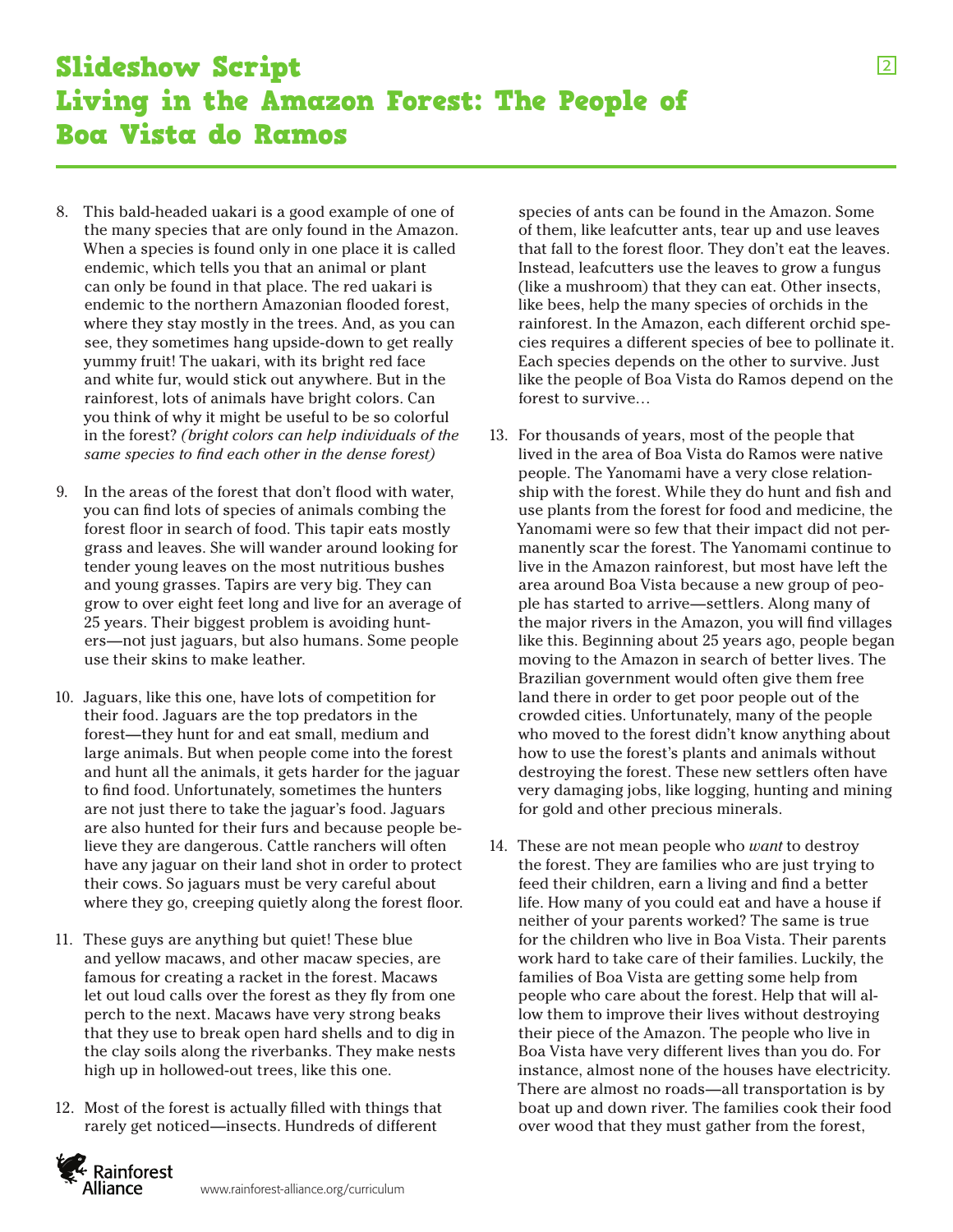- 8. This bald-headed uakari is a good example of one of the many species that are only found in the Amazon. When a species is found only in one place it is called endemic, which tells you that an animal or plant can only be found in that place. The red uakari is endemic to the northern Amazonian flooded forest, where they stay mostly in the trees. And, as you can see, they sometimes hang upside-down to get really yummy fruit! The uakari, with its bright red face and white fur, would stick out anywhere. But in the rainforest, lots of animals have bright colors. Can you think of why it might be useful to be so colorful in the forest? *(bright colors can help individuals of the same species to find each other in the dense forest)*
- 9. In the areas of the forest that don't flood with water, you can find lots of species of animals combing the forest floor in search of food. This tapir eats mostly grass and leaves. She will wander around looking for tender young leaves on the most nutritious bushes and young grasses. Tapirs are very big. They can grow to over eight feet long and live for an average of 25 years. Their biggest problem is avoiding hunters—not just jaguars, but also humans. Some people use their skins to make leather.
- 10. Jaguars, like this one, have lots of competition for their food. Jaguars are the top predators in the forest—they hunt for and eat small, medium and large animals. But when people come into the forest and hunt all the animals, it gets harder for the jaguar to find food. Unfortunately, sometimes the hunters are not just there to take the jaguar's food. Jaguars are also hunted for their furs and because people believe they are dangerous. Cattle ranchers will often have any jaguar on their land shot in order to protect their cows. So jaguars must be very careful about where they go, creeping quietly along the forest floor.
- 11. These guys are anything but quiet! These blue and yellow macaws, and other macaw species, are famous for creating a racket in the forest. Macaws let out loud calls over the forest as they fly from one perch to the next. Macaws have very strong beaks that they use to break open hard shells and to dig in the clay soils along the riverbanks. They make nests high up in hollowed-out trees, like this one.
- 12. Most of the forest is actually filled with things that rarely get noticed—insects. Hundreds of different

species of ants can be found in the Amazon. Some of them, like leafcutter ants, tear up and use leaves that fall to the forest floor. They don't eat the leaves. Instead, leafcutters use the leaves to grow a fungus (like a mushroom) that they can eat. Other insects, like bees, help the many species of orchids in the rainforest. In the Amazon, each different orchid species requires a different species of bee to pollinate it. Each species depends on the other to survive. Just like the people of Boa Vista do Ramos depend on the forest to survive…

- 13. For thousands of years, most of the people that lived in the area of Boa Vista do Ramos were native people. The Yanomami have a very close relationship with the forest. While they do hunt and fish and use plants from the forest for food and medicine, the Yanomami were so few that their impact did not permanently scar the forest. The Yanomami continue to live in the Amazon rainforest, but most have left the area around Boa Vista because a new group of people has started to arrive—settlers. Along many of the major rivers in the Amazon, you will find villages like this. Beginning about 25 years ago, people began moving to the Amazon in search of better lives. The Brazilian government would often give them free land there in order to get poor people out of the crowded cities. Unfortunately, many of the people who moved to the forest didn't know anything about how to use the forest's plants and animals without destroying the forest. These new settlers often have very damaging jobs, like logging, hunting and mining for gold and other precious minerals.
- 14. These are not mean people who *want* to destroy the forest. They are families who are just trying to feed their children, earn a living and find a better life. How many of you could eat and have a house if neither of your parents worked? The same is true for the children who live in Boa Vista. Their parents work hard to take care of their families. Luckily, the families of Boa Vista are getting some help from people who care about the forest. Help that will allow them to improve their lives without destroying their piece of the Amazon. The people who live in Boa Vista have very different lives than you do. For instance, almost none of the houses have electricity. There are almost no roads—all transportation is by boat up and down river. The families cook their food over wood that they must gather from the forest,